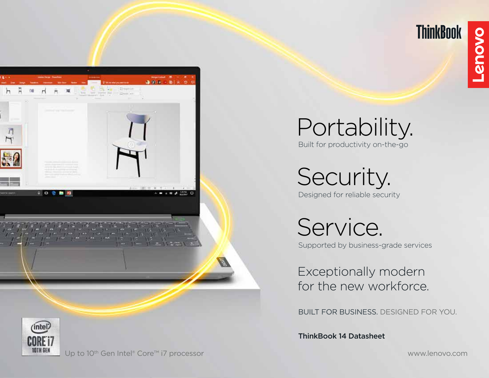

**ThinkBook** 





Portability. Built for productivity on-the-go

Security. Designed for reliable security

Service. Supported by business-grade services

Exceptionally modern for the new workforce.

BUILT FOR BUSINESS. DESIGNED FOR YOU.

ThinkBook 14 Datasheet

Up to 10<sup>th</sup> Gen Intel® Core™ i7 processor www.lenovo.com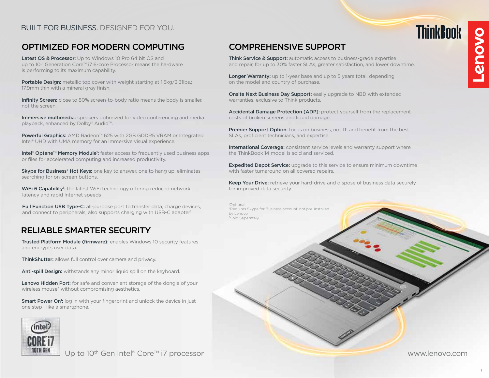# BUILT FOR BUSINESS. DESIGNED FOR YOU.

# OPTIMIZED FOR MODERN COMPUTING

Latest OS & Processor: Up to Windows 10 Pro 64 bit OS and up to 10<sup>th</sup> Generation Core™ i7 6-core Processor means the hardware is performing to its maximum capability.

Portable Design: metallic top cover with weight starting at 1.5kg/3.31lbs.; 17.9mm thin with a mineral gray finish.

Infinity Screen: close to 80% screen-to-body ratio means the body is smaller, not the screen.

Immersive multimedia: speakers optimized for video conferencing and media playback, enhanced by Dolby® Audio™.

Powerful Graphics: AMD Radeon™ 625 with 2GB GDDR5 VRAM or Integrated Intel<sup>®</sup> UHD with UMA memory for an immersive visual experience.

Intel® Optane<sup>™</sup> Memory Module<sup>1</sup>: faster access to frequently used business apps or files for accelerated computing and increased productivity.

**Skype for Business<sup>2</sup> Hot Keys:** one key to answer, one to hang up, eliminates searching for on-screen buttons.

WiFi 6 Capability<sup>1</sup>: the latest WiFi technology offering reduced network latency and rapid Internet speeds

Full Function USB Type-C: all-purpose port to transfer data, charge devices, and connect to peripherals; also supports charging with USB-C adapter<sup>1</sup>

# RELIABLE SMARTER SECURITY

Trusted Platform Module (firmware): enables Windows 10 security features and encrypts user data.

ThinkShutter: allows full control over camera and privacy.

Anti-spill Design: withstands any minor liquid spill on the keyboard.

Lenovo Hidden Port: for safe and convenient storage of the dongle of your wireless mouse<sup>3</sup> without compromising aesthetics.

**Smart Power On':** log in with your fingerprint and unlock the device in just one step—like a smartphone.



Up to 10<sup>th</sup> Gen Intel® Core™ i7 processor www.lenovo.com

# COMPREHENSIVE SUPPORT

Think Service & Support: automatic access to business-grade expertise and repair, for up to 30% faster SLAs, greater satisfaction, and lower downtime.

Longer Warranty: up to 1-year base and up to 5 years total, depending on the model and country of purchase.

**Onsite Next Business Day Support: easily upgrade to NBD with extended** warranties, exclusive to Think products.

Accidental Damage Protection (ADP): protect yourself from the replacement costs of broken screens and liquid damage.

Premier Support Option: focus on business, not IT, and benefit from the best SLAs, proficient technicians, and expertise.

International Coverage: consistent service levels and warranty support where the ThinkBook 14 model is sold and serviced.

Expedited Depot Service: upgrade to this service to ensure minimum downtime with faster turnaround on all covered repairs.

Keep Your Drive: retrieve your hard-drive and dispose of business data securely for improved data security.

1 Optional 2Requires Skype for Business account, not pre-installed by Lenovo 3Sold Seperately

**ThinkBook OVOUS-**

1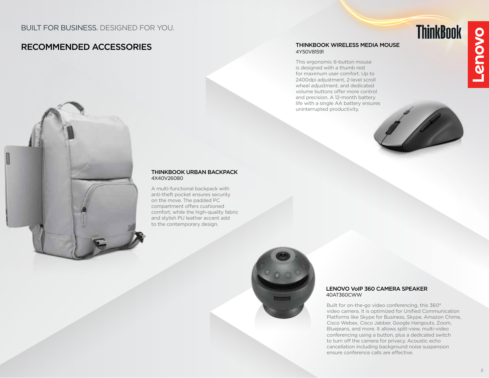# RECOMMENDED ACCESSORIES

### THINKBOOK WIRELESS MEDIA MOUSE 4Y50V81591

This ergonomic 6-button mouse is designed with a thumb rest for maximum user comfort. Up to 2400dpi adjustment, 2-level scroll wheel adjustment, and dedicated volume buttons offer more control and precision. A 12-month battery life with a single AA battery ensures uninterrupted productivity.



#### THINKBOOK URBAN BACKPACK 4X40V26080

A multi-functional backpack with anti-theft pocket ensures security on the move. The padded PC compartment offers cushioned comfort, while the high-quality fabric and stylish PU leather accent add to the contemporary design.



#### LENOVO VoIP 360 CAMERA SPEAKER 40AT360CWW

Built for on-the-go video conferencing, this 360° video camera. It is optimized for Unified Communication Platforms like Skype for Business, Skype, Amazon Chime, Cisco Webex, Cisco Jabber, Google Hangouts, Zoom, Bluejeans, and more. It allows split-view, multi-video conferencing using a button, plus a dedicated switch to turn off the camera for privacy. Acoustic echo cancellation including background noise suspension ensure conference calls are effective.

2